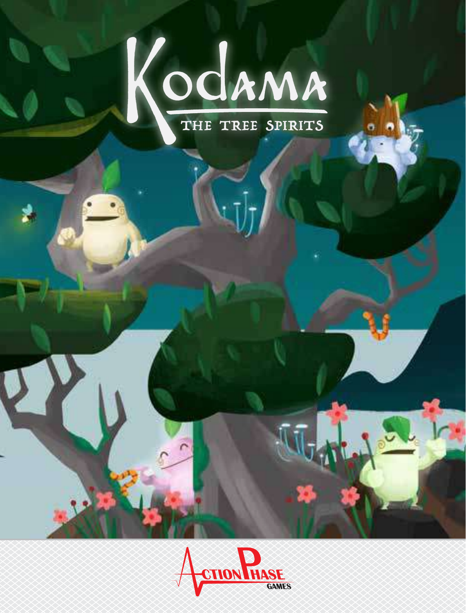

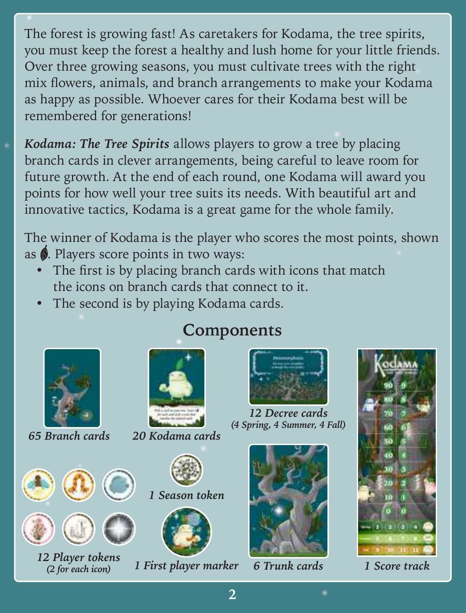The forest is growing fast! As caretakers for Kodama, the tree spirits, you must keep the forest a healthy and lush home for your little friends. Over three growing seasons, you must cultivate trees with the right mix flowers, animals, and branch arrangements to make your Kodama as happy as possible. Whoever cares for their Kodama best will be remembered for generations!

*Kodama: The Tree Spirits* allows players to grow a tree by placing branch cards in clever arrangements, being careful to leave room for future growth. At the end of each round, one Kodama will award you points for how well your tree suits its needs. With beautiful art and innovative tactics, Kodama is a great game for the whole family.

The winner of Kodama is the player who scores the most points, shown as  $\hat{\phi}$ . Players score points in two ways:

- The first is by placing branch cards with icons that match the icons on branch cards that connect to it.
- The second is by playing Kodama cards.







*12 Player tokens*<br> *(2 for each icon) 1 First player marker 6 Trunk cards 1 Score track* 



*65 Branch cards 20 Kodama cards*







*12 Decree cards (4 Spring, 4 Summer, 4 Fall)*



*6 Trunk cards*



# **Components**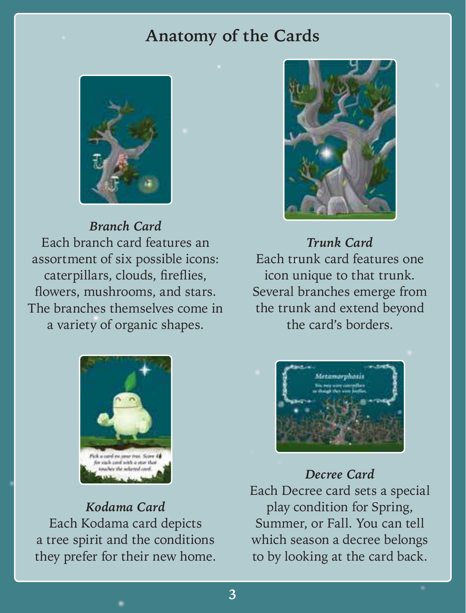## **Anatomy of the Cards**



*Branch Card* Each branch card features an assortment of six possible icons: caterpillars, clouds, fireflies, flowers, mushrooms, and stars. The branches themselves come in a variety of organic shapes.



*Kodama Card* Each Kodama card depicts a tree spirit and the conditions they prefer for their new home.



*Trunk Card* Each trunk card features one icon unique to that trunk. Several branches emerge from the trunk and extend beyond the card's borders.



*Decree Card*

Each Decree card sets a special play condition for Spring, Summer, or Fall. You can tell which season a decree belongs to by looking at the card back.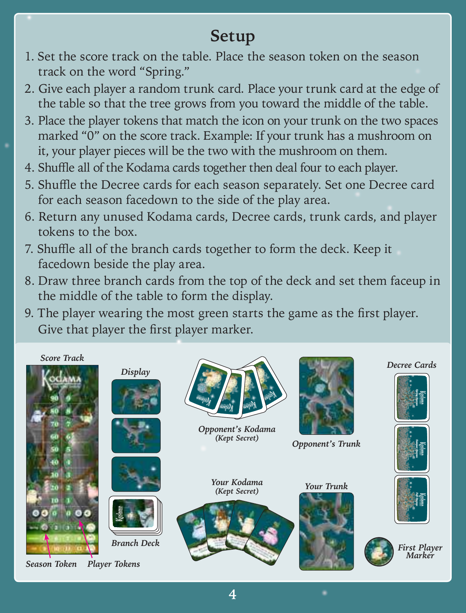# **Setup**

- 1. Set the score track on the table. Place the season token on the season track on the word "Spring."
- 2. Give each player a random trunk card. Place your trunk card at the edge of the table so that the tree grows from you toward the middle of the table.
- 3. Place the player tokens that match the icon on your trunk on the two spaces marked "0" on the score track. Example: If your trunk has a mushroom on it, your player pieces will be the two with the mushroom on them.
- 4. Shuffle all of the Kodama cards together then deal four to each player.
- 5. Shuffle the Decree cards for each season separately. Set one Decree card for each season facedown to the side of the play area.
- 6. Return any unused Kodama cards, Decree cards, trunk cards, and player tokens to the box.
- 7. Shuffle all of the branch cards together to form the deck. Keep it facedown beside the play area.
- 8. Draw three branch cards from the top of the deck and set them faceup in the middle of the table to form the display.
- 9. The player wearing the most green starts the game as the first player. Give that player the first player marker.

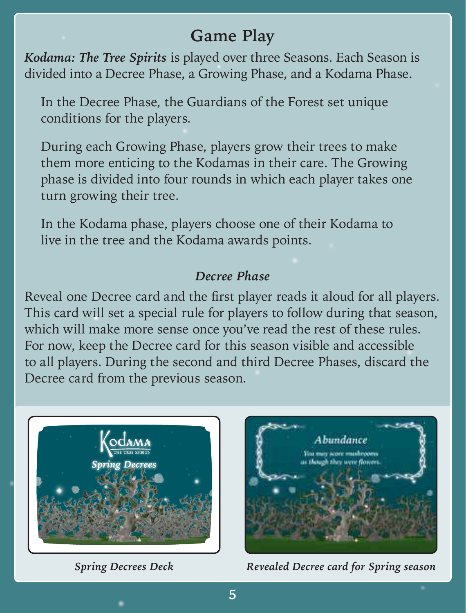## **Game Play**

*Kodama: The Tree Spirits* is played over three Seasons. Each Season is divided into a Decree Phase, a Growing Phase, and a Kodama Phase.

In the Decree Phase, the Guardians of the Forest set unique conditions for the players.

During each Growing Phase, players grow their trees to make them more enticing to the Kodamas in their care. The Growing phase is divided into four rounds in which each player takes one turn growing their tree.

In the Kodama phase, players choose one of their Kodama to live in the tree and the Kodama awards points.

### *Decree Phase*

Reveal one Decree card and the first player reads it aloud for all players. This card will set a special rule for players to follow during that season, which will make more sense once you've read the rest of these rules. For now, keep the Decree card for this season visible and accessible to all players. During the second and third Decree Phases, discard the Decree card from the previous season.





*Spring Decrees Deck Revealed Decree card for Spring season*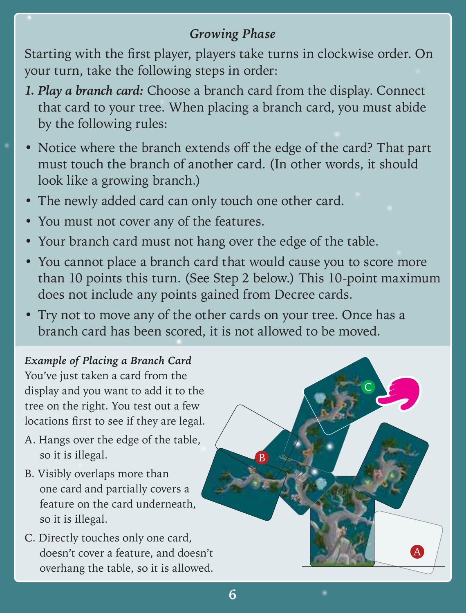### *Growing Phase*

Starting with the first player, players take turns in clockwise order. On your turn, take the following steps in order:

- *1. Play a branch card:* Choose a branch card from the display. Connect that card to your tree. When placing a branch card, you must abide by the following rules:
- Notice where the branch extends off the edge of the card? That part must touch the branch of another card. (In other words, it should look like a growing branch.)
- The newly added card can only touch one other card.
- You must not cover any of the features.
- Your branch card must not hang over the edge of the table.
- You cannot place a branch card that would cause you to score more than 10 points this turn. (See Step 2 below.) This 10-point maximum does not include any points gained from Decree cards.
- Try not to move any of the other cards on your tree. Once has a branch card has been scored, it is not allowed to be moved.

*Example of Placing a Branch Card* You've just taken a card from the display and you want to add it to the tree on the right. You test out a few locations first to see if they are legal.

- A. Hangs over the edge of the table, so it is illegal.
- B. Visibly overlaps more than one card and partially covers a feature on the card underneath, so it is illegal.
- C. Directly touches only one card, doesn't cover a feature, and doesn't overhang the table, so it is allowed.



**6**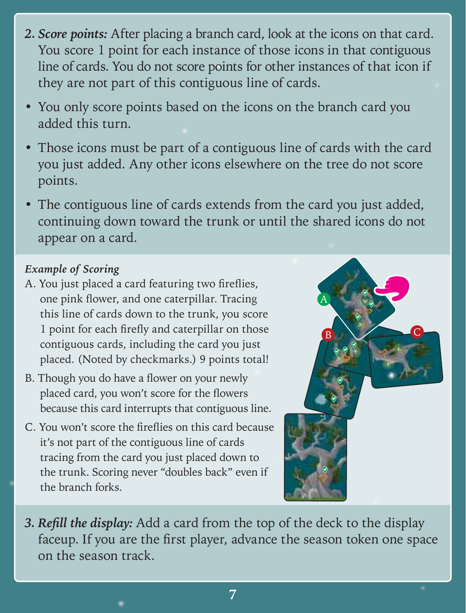- *2. Score points:* After placing a branch card, look at the icons on that card. You score 1 point for each instance of those icons in that contiguous line of cards. You do not score points for other instances of that icon if they are not part of this contiguous line of cards.
- You only score points based on the icons on the branch card you added this turn.
- Those icons must be part of a contiguous line of cards with the card you just added. Any other icons elsewhere on the tree do not score points.
- The contiguous line of cards extends from the card you just added, continuing down toward the trunk or until the shared icons do not appear on a card.

#### *Example of Scoring*

- A. You just placed a card featuring two fireflies, one pink flower, and one caterpillar. Tracing this line of cards down to the trunk, you score 1 point for each firefly and caterpillar on those contiguous cards, including the card you just placed. (Noted by checkmarks.) 9 points total!
- B. Though you do have a flower on your newly placed card, you won't score for the flowers because this card interrupts that contiguous line.
- C. You won't score the fireflies on this card because it's not part of the contiguous line of cards tracing from the card you just placed down to the trunk. Scoring never "doubles back" even if the branch forks.



**3. Refill the display:** Add a card from the top of the deck to the display faceup. If you are the first player, advance the season token one space on the season track.